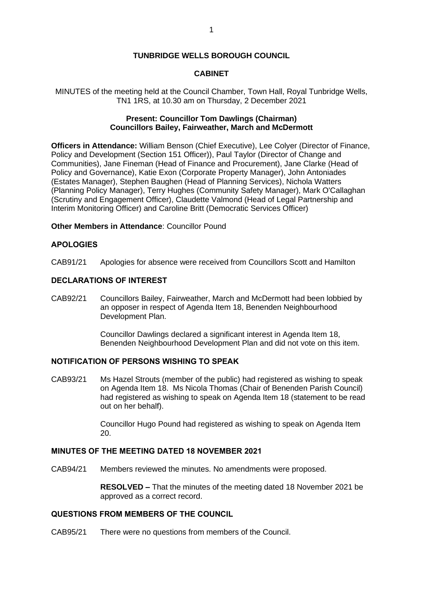### **TUNBRIDGE WELLS BOROUGH COUNCIL**

### **CABINET**

MINUTES of the meeting held at the Council Chamber, Town Hall, Royal Tunbridge Wells, TN1 1RS, at 10.30 am on Thursday, 2 December 2021

## **Present: Councillor Tom Dawlings (Chairman) Councillors Bailey, Fairweather, March and McDermott**

**Officers in Attendance:** William Benson (Chief Executive), Lee Colyer (Director of Finance, Policy and Development (Section 151 Officer)), Paul Taylor (Director of Change and Communities), Jane Fineman (Head of Finance and Procurement), Jane Clarke (Head of Policy and Governance), Katie Exon (Corporate Property Manager), John Antoniades (Estates Manager), Stephen Baughen (Head of Planning Services), Nichola Watters (Planning Policy Manager), Terry Hughes (Community Safety Manager), Mark O'Callaghan (Scrutiny and Engagement Officer), Claudette Valmond (Head of Legal Partnership and Interim Monitoring Officer) and Caroline Britt (Democratic Services Officer)

**Other Members in Attendance**: Councillor Pound

## **APOLOGIES**

CAB91/21 Apologies for absence were received from Councillors Scott and Hamilton

## **DECLARATIONS OF INTEREST**

CAB92/21 Councillors Bailey, Fairweather, March and McDermott had been lobbied by an opposer in respect of Agenda Item 18, Benenden Neighbourhood Development Plan.

> Councillor Dawlings declared a significant interest in Agenda Item 18, Benenden Neighbourhood Development Plan and did not vote on this item.

## **NOTIFICATION OF PERSONS WISHING TO SPEAK**

CAB93/21 Ms Hazel Strouts (member of the public) had registered as wishing to speak on Agenda Item 18. Ms Nicola Thomas (Chair of Benenden Parish Council) had registered as wishing to speak on Agenda Item 18 (statement to be read out on her behalf).

> Councillor Hugo Pound had registered as wishing to speak on Agenda Item 20.

## **MINUTES OF THE MEETING DATED 18 NOVEMBER 2021**

CAB94/21 Members reviewed the minutes. No amendments were proposed.

**RESOLVED –** That the minutes of the meeting dated 18 November 2021 be approved as a correct record.

## **QUESTIONS FROM MEMBERS OF THE COUNCIL**

CAB95/21 There were no questions from members of the Council.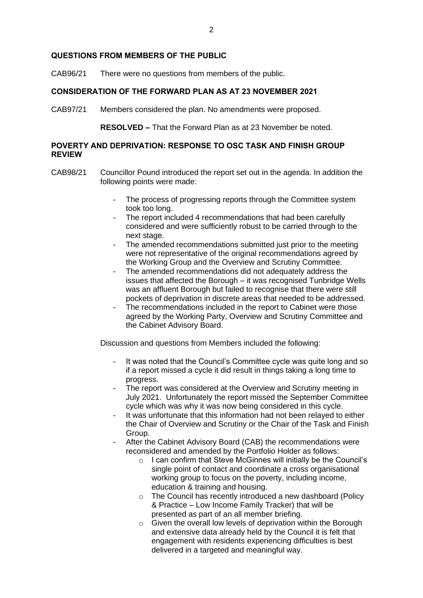#### **QUESTIONS FROM MEMBERS OF THE PUBLIC**

CAB96/21 There were no questions from members of the public.

## **CONSIDERATION OF THE FORWARD PLAN AS AT 23 NOVEMBER 2021**

CAB97/21 Members considered the plan. No amendments were proposed.

**RESOLVED –** That the Forward Plan as at 23 November be noted.

## **POVERTY AND DEPRIVATION: RESPONSE TO OSC TASK AND FINISH GROUP REVIEW**

- CAB98/21 Councillor Pound introduced the report set out in the agenda. In addition the following points were made:
	- The process of progressing reports through the Committee system took too long.
	- The report included 4 recommendations that had been carefully considered and were sufficiently robust to be carried through to the next stage.
	- The amended recommendations submitted just prior to the meeting were not representative of the original recommendations agreed by the Working Group and the Overview and Scrutiny Committee.
	- The amended recommendations did not adequately address the issues that affected the Borough – it was recognised Tunbridge Wells was an affluent Borough but failed to recognise that there were still pockets of deprivation in discrete areas that needed to be addressed.
	- The recommendations included in the report to Cabinet were those agreed by the Working Party, Overview and Scrutiny Committee and the Cabinet Advisory Board.

Discussion and questions from Members included the following:

- It was noted that the Council's Committee cycle was quite long and so if a report missed a cycle it did result in things taking a long time to progress.
- The report was considered at the Overview and Scrutiny meeting in July 2021. Unfortunately the report missed the September Committee cycle which was why it was now being considered in this cycle.
- It was unfortunate that this information had not been relayed to either the Chair of Overview and Scrutiny or the Chair of the Task and Finish Group.
- After the Cabinet Advisory Board (CAB) the recommendations were reconsidered and amended by the Portfolio Holder as follows:
	- o I can confirm that Steve McGinnes will initially be the Council's single point of contact and coordinate a cross organisational working group to focus on the poverty, including income, education & training and housing.
	- o The Council has recently introduced a new dashboard (Policy & Practice – Low Income Family Tracker) that will be presented as part of an all member briefing.
	- o Given the overall low levels of deprivation within the Borough and extensive data already held by the Council it is felt that engagement with residents experiencing difficulties is best delivered in a targeted and meaningful way.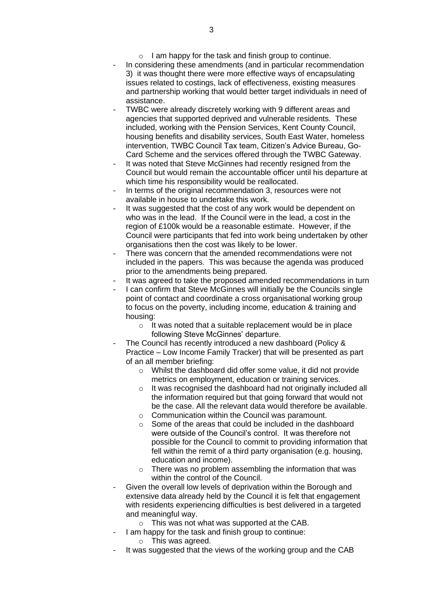- In considering these amendments (and in particular recommendation 3) it was thought there were more effective ways of encapsulating issues related to costings, lack of effectiveness, existing measures and partnership working that would better target individuals in need of assistance.
- TWBC were already discretely working with 9 different areas and agencies that supported deprived and vulnerable residents. These included, working with the Pension Services, Kent County Council, housing benefits and disability services, South East Water, homeless intervention, TWBC Council Tax team, Citizen's Advice Bureau, Go-Card Scheme and the services offered through the TWBC Gateway.
- It was noted that Steve McGinnes had recently resigned from the Council but would remain the accountable officer until his departure at which time his responsibility would be reallocated.
- In terms of the original recommendation 3, resources were not available in house to undertake this work.
- It was suggested that the cost of any work would be dependent on who was in the lead. If the Council were in the lead, a cost in the region of £100k would be a reasonable estimate. However, if the Council were participants that fed into work being undertaken by other organisations then the cost was likely to be lower.
- There was concern that the amended recommendations were not included in the papers. This was because the agenda was produced prior to the amendments being prepared.
- It was agreed to take the proposed amended recommendations in turn
- I can confirm that Steve McGinnes will initially be the Councils single point of contact and coordinate a cross organisational working group to focus on the poverty, including income, education & training and housing:
	- o It was noted that a suitable replacement would be in place following Steve McGinnes' departure.
- The Council has recently introduced a new dashboard (Policy & Practice – Low Income Family Tracker) that will be presented as part of an all member briefing:
	- o Whilst the dashboard did offer some value, it did not provide metrics on employment, education or training services.
	- o It was recognised the dashboard had not originally included all the information required but that going forward that would not be the case. All the relevant data would therefore be available.
	- o Communication within the Council was paramount.
	- o Some of the areas that could be included in the dashboard were outside of the Council's control. It was therefore not possible for the Council to commit to providing information that fell within the remit of a third party organisation (e.g. housing, education and income).
	- o There was no problem assembling the information that was within the control of the Council.
- Given the overall low levels of deprivation within the Borough and extensive data already held by the Council it is felt that engagement with residents experiencing difficulties is best delivered in a targeted and meaningful way.
	- o This was not what was supported at the CAB.
- I am happy for the task and finish group to continue:
	- o This was agreed.
- It was suggested that the views of the working group and the CAB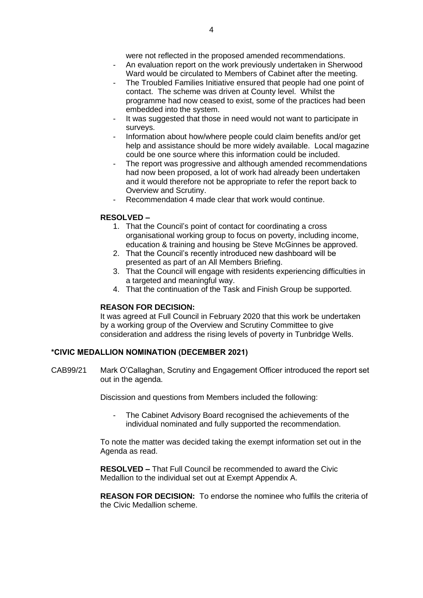- An evaluation report on the work previously undertaken in Sherwood Ward would be circulated to Members of Cabinet after the meeting.
- The Troubled Families Initiative ensured that people had one point of contact. The scheme was driven at County level. Whilst the programme had now ceased to exist, some of the practices had been embedded into the system.
- It was suggested that those in need would not want to participate in surveys.
- Information about how/where people could claim benefits and/or get help and assistance should be more widely available. Local magazine could be one source where this information could be included.
- The report was progressive and although amended recommendations had now been proposed, a lot of work had already been undertaken and it would therefore not be appropriate to refer the report back to Overview and Scrutiny.
- Recommendation 4 made clear that work would continue.

### **RESOLVED –**

- 1. That the Council's point of contact for coordinating a cross organisational working group to focus on poverty, including income, education & training and housing be Steve McGinnes be approved.
- 2. That the Council's recently introduced new dashboard will be presented as part of an All Members Briefing.
- 3. That the Council will engage with residents experiencing difficulties in a targeted and meaningful way.
- 4. That the continuation of the Task and Finish Group be supported.

### **REASON FOR DECISION:**

It was agreed at Full Council in February 2020 that this work be undertaken by a working group of the Overview and Scrutiny Committee to give consideration and address the rising levels of poverty in Tunbridge Wells.

### **\*CIVIC MEDALLION NOMINATION (DECEMBER 2021)**

CAB99/21 Mark O'Callaghan, Scrutiny and Engagement Officer introduced the report set out in the agenda.

Discission and questions from Members included the following:

- The Cabinet Advisory Board recognised the achievements of the individual nominated and fully supported the recommendation.

To note the matter was decided taking the exempt information set out in the Agenda as read.

**RESOLVED –** That Full Council be recommended to award the Civic Medallion to the individual set out at Exempt Appendix A.

**REASON FOR DECISION:** To endorse the nominee who fulfils the criteria of the Civic Medallion scheme.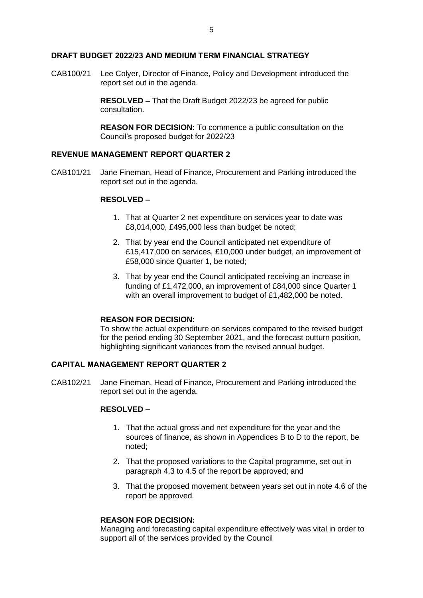#### **DRAFT BUDGET 2022/23 AND MEDIUM TERM FINANCIAL STRATEGY**

CAB100/21 Lee Colyer, Director of Finance, Policy and Development introduced the report set out in the agenda.

> **RESOLVED –** That the Draft Budget 2022/23 be agreed for public consultation.

**REASON FOR DECISION:** To commence a public consultation on the Council's proposed budget for 2022/23

### **REVENUE MANAGEMENT REPORT QUARTER 2**

CAB101/21 Jane Fineman, Head of Finance, Procurement and Parking introduced the report set out in the agenda.

## **RESOLVED –**

- 1. That at Quarter 2 net expenditure on services year to date was £8,014,000, £495,000 less than budget be noted;
- 2. That by year end the Council anticipated net expenditure of £15,417,000 on services, £10,000 under budget, an improvement of £58,000 since Quarter 1, be noted;
- 3. That by year end the Council anticipated receiving an increase in funding of £1,472,000, an improvement of £84,000 since Quarter 1 with an overall improvement to budget of £1,482,000 be noted.

#### **REASON FOR DECISION:**

To show the actual expenditure on services compared to the revised budget for the period ending 30 September 2021, and the forecast outturn position, highlighting significant variances from the revised annual budget.

## **CAPITAL MANAGEMENT REPORT QUARTER 2**

CAB102/21 Jane Fineman, Head of Finance, Procurement and Parking introduced the report set out in the agenda.

## **RESOLVED –**

- 1. That the actual gross and net expenditure for the year and the sources of finance, as shown in Appendices B to D to the report, be noted;
- 2. That the proposed variations to the Capital programme, set out in paragraph 4.3 to 4.5 of the report be approved; and
- 3. That the proposed movement between years set out in note 4.6 of the report be approved.

## **REASON FOR DECISION:**

Managing and forecasting capital expenditure effectively was vital in order to support all of the services provided by the Council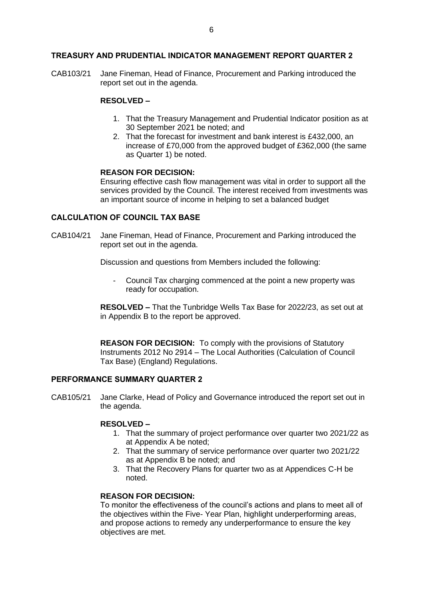### **TREASURY AND PRUDENTIAL INDICATOR MANAGEMENT REPORT QUARTER 2**

CAB103/21 Jane Fineman, Head of Finance, Procurement and Parking introduced the report set out in the agenda.

## **RESOLVED –**

- 1. That the Treasury Management and Prudential Indicator position as at 30 September 2021 be noted; and
- 2. That the forecast for investment and bank interest is £432,000, an increase of £70,000 from the approved budget of £362,000 (the same as Quarter 1) be noted.

#### **REASON FOR DECISION:**

Ensuring effective cash flow management was vital in order to support all the services provided by the Council. The interest received from investments was an important source of income in helping to set a balanced budget

#### **CALCULATION OF COUNCIL TAX BASE**

CAB104/21 Jane Fineman, Head of Finance, Procurement and Parking introduced the report set out in the agenda.

Discussion and questions from Members included the following:

- Council Tax charging commenced at the point a new property was ready for occupation.

**RESOLVED –** That the Tunbridge Wells Tax Base for 2022/23, as set out at in Appendix B to the report be approved.

**REASON FOR DECISION:** To comply with the provisions of Statutory Instruments 2012 No 2914 – The Local Authorities (Calculation of Council Tax Base) (England) Regulations.

### **PERFORMANCE SUMMARY QUARTER 2**

CAB105/21 Jane Clarke, Head of Policy and Governance introduced the report set out in the agenda.

#### **RESOLVED –**

- 1. That the summary of project performance over quarter two 2021/22 as at Appendix A be noted;
- 2. That the summary of service performance over quarter two 2021/22 as at Appendix B be noted; and
- 3. That the Recovery Plans for quarter two as at Appendices C-H be noted.

### **REASON FOR DECISION:**

To monitor the effectiveness of the council's actions and plans to meet all of the objectives within the Five- Year Plan, highlight underperforming areas, and propose actions to remedy any underperformance to ensure the key objectives are met.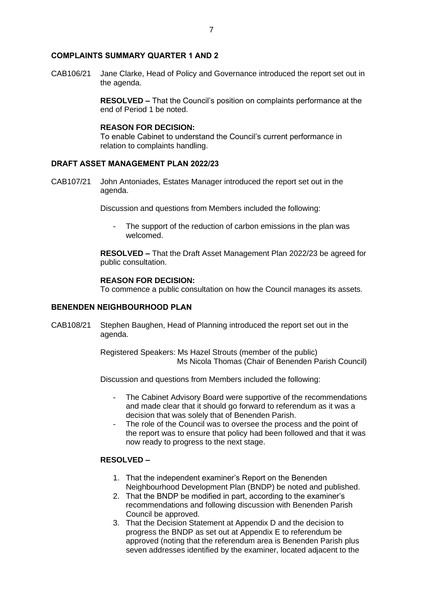#### **COMPLAINTS SUMMARY QUARTER 1 AND 2**

CAB106/21 Jane Clarke, Head of Policy and Governance introduced the report set out in the agenda.

> **RESOLVED –** That the Council's position on complaints performance at the end of Period 1 be noted.

#### **REASON FOR DECISION:**

To enable Cabinet to understand the Council's current performance in relation to complaints handling.

#### **DRAFT ASSET MANAGEMENT PLAN 2022/23**

CAB107/21 John Antoniades, Estates Manager introduced the report set out in the agenda.

Discussion and questions from Members included the following:

- The support of the reduction of carbon emissions in the plan was welcomed.

**RESOLVED –** That the Draft Asset Management Plan 2022/23 be agreed for public consultation.

#### **REASON FOR DECISION:**

To commence a public consultation on how the Council manages its assets.

## **BENENDEN NEIGHBOURHOOD PLAN**

CAB108/21 Stephen Baughen, Head of Planning introduced the report set out in the agenda.

> Registered Speakers: Ms Hazel Strouts (member of the public) Ms Nicola Thomas (Chair of Benenden Parish Council)

Discussion and questions from Members included the following:

- The Cabinet Advisory Board were supportive of the recommendations and made clear that it should go forward to referendum as it was a decision that was solely that of Benenden Parish.
- The role of the Council was to oversee the process and the point of the report was to ensure that policy had been followed and that it was now ready to progress to the next stage.

## **RESOLVED –**

- 1. That the independent examiner's Report on the Benenden Neighbourhood Development Plan (BNDP) be noted and published.
- 2. That the BNDP be modified in part, according to the examiner's recommendations and following discussion with Benenden Parish Council be approved.
- 3. That the Decision Statement at Appendix D and the decision to progress the BNDP as set out at Appendix E to referendum be approved (noting that the referendum area is Benenden Parish plus seven addresses identified by the examiner, located adjacent to the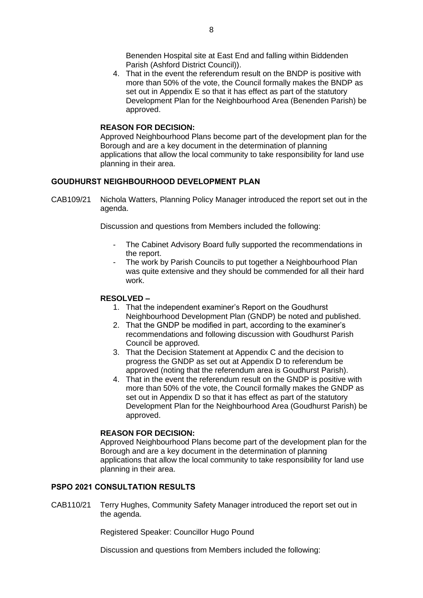Benenden Hospital site at East End and falling within Biddenden Parish (Ashford District Council)).

4. That in the event the referendum result on the BNDP is positive with more than 50% of the vote, the Council formally makes the BNDP as set out in Appendix E so that it has effect as part of the statutory Development Plan for the Neighbourhood Area (Benenden Parish) be approved.

#### **REASON FOR DECISION:**

Approved Neighbourhood Plans become part of the development plan for the Borough and are a key document in the determination of planning applications that allow the local community to take responsibility for land use planning in their area.

### **GOUDHURST NEIGHBOURHOOD DEVELOPMENT PLAN**

CAB109/21 Nichola Watters, Planning Policy Manager introduced the report set out in the agenda.

Discussion and questions from Members included the following:

- The Cabinet Advisory Board fully supported the recommendations in the report.
- The work by Parish Councils to put together a Neighbourhood Plan was quite extensive and they should be commended for all their hard work.

#### **RESOLVED –**

- 1. That the independent examiner's Report on the Goudhurst Neighbourhood Development Plan (GNDP) be noted and published.
- 2. That the GNDP be modified in part, according to the examiner's recommendations and following discussion with Goudhurst Parish Council be approved.
- 3. That the Decision Statement at Appendix C and the decision to progress the GNDP as set out at Appendix D to referendum be approved (noting that the referendum area is Goudhurst Parish).
- 4. That in the event the referendum result on the GNDP is positive with more than 50% of the vote, the Council formally makes the GNDP as set out in Appendix D so that it has effect as part of the statutory Development Plan for the Neighbourhood Area (Goudhurst Parish) be approved.

### **REASON FOR DECISION:**

Approved Neighbourhood Plans become part of the development plan for the Borough and are a key document in the determination of planning applications that allow the local community to take responsibility for land use planning in their area.

## **PSPO 2021 CONSULTATION RESULTS**

CAB110/21 Terry Hughes, Community Safety Manager introduced the report set out in the agenda.

Registered Speaker: Councillor Hugo Pound

Discussion and questions from Members included the following: